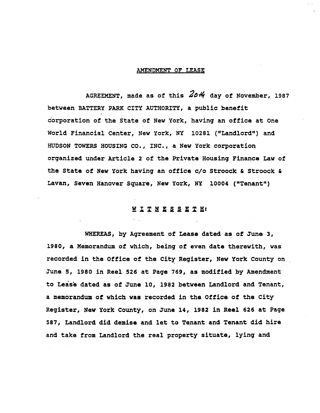## **AMENDMENT OF LEASE**

A**GREEMENT**, **made as** o**f** t**his** 2\_ **d**a**y** o**f N**o**vembe**r, 19**8**7 b**etwee**n **BATTERY PARK CITY AUTHORITY, a publi**c **be**n**efit co**r**p**o**rati**o**n** o**f** t**he Sta**t**e** o**f New** Yor**k, having an** o**ffice a**t **One W**orl**d Financial Center, N**e**w Y**or**k, NY** 1**0281 (**"**Land**lo**rd**"**) an**d **HUDSON TOWERS HOUSING CO., INC., a New Y**o**rk c**o**rp**o**rati**o**n organized under Artic**l**e 2** o**f the Private H**o**using Finance Law** o**f t**h**e S**t**ate** of **New** Yo**rk having an** o**ffice c**/o **Str**oo**ck & Str**oo**ck & Lavan, Seven Han**o**ver Square, New Y**o**rk, NY 1**000**4 (**"**Tenan**t"**)**

## WITN**SST** :

**WHEREAS, by Agreement** o**f Lease dated a**s o**f June 3,** 19**8**0**, a Mem**o**ran**d**um** o**f which, b**e**ing** o**f even date therewit**h**, was** r**ec**o**rded in t**he O**ffice** o**f the City Regi**s**ter, New Y**o**rk C**o**un**t**y on June 5,** 1**980 in Reel 526 at Page 76**9**, a**s mo**dified b**y **Amend**m**ent t**o **Lease dated as** o**f June** 10**,** 19**82 between Landl**o**rd an**d **Tenant, a me**mo**ran**d**u**m o**f whic**h **wa**s **rec**o**rded in th**e **Office** o**f th**e **City Regis**t**er, New Y**o**rk C**o**u**n**ty,** on **June 14, 1**9**82 in Re**e**l 626 a**t **Page 587, Lan**d**l**o**rd** d**id de**m**is**e **and** l**et t**o **Tenant and Tenan**t **di**d **hire and take fro**m **Land**lo**r**d t**he rea**l **pr**op**er**t**y situate,** l**yin**g **and**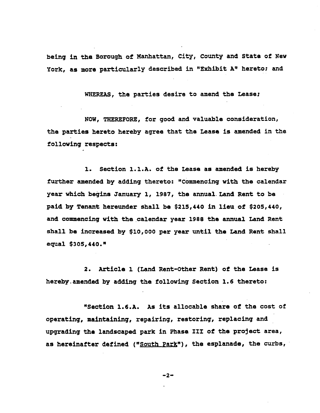**being in** t**h**e **B**o**r**o**ugh** o**f Man**h**at**t**an, City**, **C**o**unty and S**t**ate** o**f N**ew **Y**o**rk, a**s **m**o**re parti**c**ular**l**y described in** "E**x**h**ibit A" h**e**r**e**t**o; **and**

**WH**E**R**E**AS, th**e **partie**s **desire** to **amend** the **Leas**e**;**

**NOW, THER**E**F**O**R**E**, f**o**r g**oo**d and valuabl**e **c**o**nsiderati**o**n, th**e **partie**s **heret**o **he**r**eby agree tha**t the **Lease i**s **am**e**nde**d **in** the **f**o**ll**o**wing respe**cts**:**

**i**. **Section I.I**.**A**. o**f t**he **Lea**se **a**s am**ended** i**s** h**ereby furt**h**er** am**ended by adding** th**ereto:** "**C**o**mmen**c**ing** w**ith** the c**a**l**endar year whi**c**.hbegin**e **January i, 1987,** the **annualLand R**ent **t**o **b**e **paid** by **T**en**an**t **hereunde**r **sha**l**l** be **\$215,440 in lleu of \$2**0**5,44**0**, and** com**m**en**cin**g **with th**e c**alenda**r **yea**r **19**88 the **a**n**nual Land Rent shall** be **increased** b**y \$I**0**,**000 **pe**r y**ea**r **un**t**il** the **Land Rent sha**ll **eq**u**al** \$**3**0**5,44**0**.**"

**2. Arti**c**l**e **1 (Land Rent-**Other **Rent)** o**f th**e **Leas**e **is he**r**eb**y**.**em**end**e**d by adding** the **f**ol**l**o**win**g **Secti**o**n 1.6 theret**o**:**

**"Secti**o**n 1.6.A. A**s **its a**l**l**o**c**ab**l**e **share** o**f** the **c**o**st** o**f** o**perating**, m**ain**t**ainin**g**, repairing,** r**e**st**orin**g**, rep**l**a**c**in**g **and upgradin**g **th**e l**andscaped park in P**h**ase III** o**f** the **pr**o**ject area, a**s **hereinafter defined (**"**S**o**u**t**h Park"), th**e es**p**l**anad**e**, the curb**s**,**

**-2-**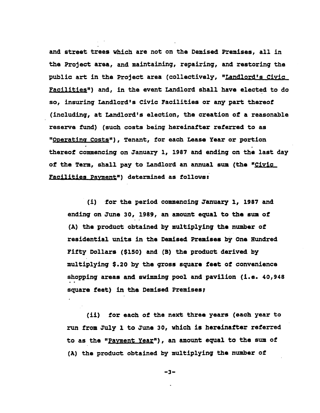and street trees which are not on the Demised Premises, all in the Project area, and maintaining, repairing, and restoring the public art in the Project area (collectively, "Landlord's Civic Facilities") and, in the event Landlord shall have elected to do so, insuring Landlord's Civic Facilities or any part thereof (including, at Landlord's election, the creation of a reasonable reserve fund) (such costs being hereinafter referred to as "Operating Costs"), Tenant, for each Lease Year or portion thereof commencing on January 1, 1987 and ending on the last day of the Term, shall pay to Landlord an annual sum (the "Civic Facilities Payment") determined as follows:

(i) for the period commencing January 1, 1987 and ending on June 30, 1989, an amount equal to the sum of (A) the product obtained by multiplying the number of residential units in the Demised Premises by One Hundred Fifty Dollars (\$150) and (B) the product derived by multiplying \$.20 by the gross square feet of convenience shopping areas and swimming pool and pavilion (i.e. 40,948 square feet) in the Demised Premises;

(ii) for each of the next three years (each year to run from July 1 to June 30, which is hereinafter referred to as the "Payment Year"), an amount equal to the sum of (A) the product obtained by multiplying the number of

 $-3-$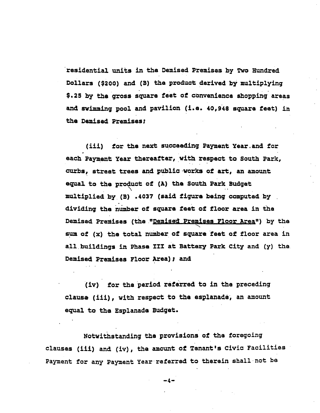re**s**id**ential uni**ts **in t**h**e D**emi**s**ed **P**rem**is**es **b**y **Tw**o **Hun**dr**e**d **D**o**l**l**a**rs **(\$**200**) an**d **(B)** the **p**rod**uc**t d**eriv**ed **by** m**u**lt**ip**ly**ing \$.**2**5** b**y the** \_**os**s **squa**r**e feet of** co**nv**e**n**i**en**c**e s**h**oppin**g **areas an**d **sw**+mm**ln**g **pool an**d **pavi**lio**n (i.**e**. 4**0,**948** squ**ar**e **fe**e**t} An** th**e Demised P**r**emise**s**;**

(iii) for th**e nex**t s**uc**cee**din**g **Pa**y**men**t **Year.and f**or **eac**h **Paymen**t **Year** there**af**te**r, with** re**sp**ect **to S**o**uth Pa**r**k, cur**bs**, stree**t **tr**e**e**s an**d publ**i**c .work**s o**f art**, **an amount equal** to the **p**rod**u**ct o**f (A) th**e **South Park Budge**t **..** m**ult**i**pli**ed **b**y **(B}** .**4**0**37 (said figur**e b**ein**g **co**m**pute**d **by dividing t**he **numb**\_ o**f** squ**a**re **f**ee\_ **o**f **floor area in** th**e Demis**ed **P**rem**i**ses **(**the **"D**em**is**ed **Pre**m**ises Floor Area**"**} b**y **th**e **sum of (x)** the to**ta**l **n**u**mb**er **of s**qu**a**re **f**eet **o**f **f**loor **area in all** b**uildin**g**s in Phas**e **III a**t **Bat**te**ry Park City an**d **(y) th**e **Dem**i**s**ed **Pr**e**mise**s **F**loor **Ar**e**a)** ; **and**

**(iv) f**o**r the peri**o**d** r**ef**e**rr**e**d to in** the **preceding** cl**aus**e **(I**l**l}, with respect to** th**e** e**sp**l**anad**e, **an** amo**unt e**qu**al to** the E**sp**l**anade Bu**dget**.**

**N**o**twithstandin**g **th**e **provision**s **of** the **f**o**r**ego**i**ng **c**l**ause**s **(lii) an**d **(iv)**, **t**he **am**o**un**t o**f Tenant's Civic Faci**l**iti**e**s Payment f**or **any Paym**e**nt Y**e**a**r **ref**e**r**red **t**o **t**here**in sha**1**1.n**o**t be**

--4**--**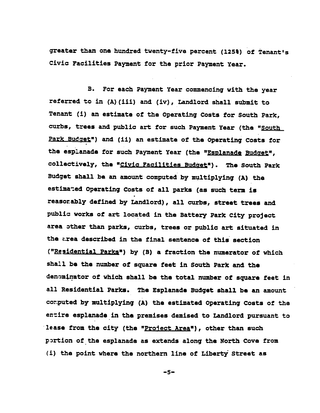greater than one hundred twenty-five percent (125%) of Tenant's Civic Facilities Payment for the prior Payment Year.

**B.** For each Payment Year commencing with the year referred to in (A) (iii) and (iv), Landlord shall submit to Tenant (i) an estimate of the Operating Costs for South Park, curbs, trees and public art for such Payment Year (the "South Park Budget") and (ii) an estimate of the Operating Costs for the esplanade for such Payment Year (the "Esplanade Budget", collectively, the "Civic Facilities Budget"). The South Park Budget shall be an amount computed by multiplying (A) the estimated Operating Costs of all parks (as such term is reasonably defined by Landlord), all curbs, street trees and public works of art located in the Battery Park City project area other than parks, curbs, trees or public art situated in the area described in the final sentence of this section ("Residential Parks") by (B) a fraction the numerator of which shall be the number of square feet in South Park and the denominator of which shall be the total number of square feet in all Residential Parks. The Esplanade Budget shall be an amount computed by multiplying (A) the estimated Operating Costs of the entire esplanade in the premises demised to Landlord pursuant to lease from the city (the "Project Area"), other than such portion of the esplanade as extends along the North Cove from (i) the point where the northern line of Liberty Street as

 $-5-$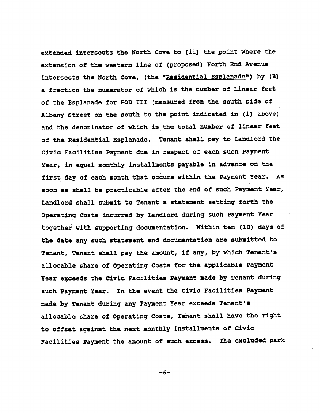**exten**d**e**d **intersects th**e **N**o**rth C**o**ve t**o **(ii) the p**o**int where the e**xt**ensi**o**n** o**f** th**e wes**te**rn line** o**f (pr**o**p**o**sed) N**o**rth En**d **Avenue intersects the N**o**rth C**o**ve, (the** "**Residen**t**ial Esplanade") by (B) a fracti**o**n the numerat**o**r** o**f which i**s **the numbe**r o**f linear feet** o**f the Esplanade f**o**r P**O**D III (measured fr**o**m th**e **s**o**uth side** o**f A**l**bany Street** o**n the** so**uth t**o th**e p**o**in**t **indicated in (i) ab**o**ve) an**d th**e den**o**minat**o**r** o**f which is** th**e t**o**tal n**\_**,**\_**er** o**f linear feet** o**f** th**e Residential Esplanade. Ten**ant **shall pay t**o **Lan**d**l**o**rd the Civic Facilities Paymen**t **due in respect** o**f eac**h **suc**h **Pa**ym**ent Year, in equal** mo**nthly installments payabl**e **in a**d**van**c**e** o**n** the **firs**t **day** o**f each** mo**nth** th**at** oc**curs** w**it**h**in** the **Payment Year. As s**oo**n as shall be practicable af**t**e**r the e**n**d o**f such Pa**ym**ent Year, Landl**o**r**d **shall sub**m**it t**o **Tenant a** s**tatement setting f**o**rth** th**e Operating C**o**sts in**c**urre**d **by** La**ndl**o**r**d **during such Pa**ym**ent Year t**o**g**eth**er wit**h **supp**o**rting d**oc**umentati**o**n. Wi**th**in ten (i**0**) days** o**f** th**e dateany such statement an**d **d**o**cumentati**o**n ar**e **sub**m**itted t**o **Tenant, Tenant sha**l**l pa**y th**e am**o**unt, if any,. by whi**c**h Tenant's a**l**l**o**cable share** o**f** O**perating C**o**sts f**or the **appli**c**able Pa**ym**en**t **Year e**¥**ceed**s **t**h**e C**l**vi= Fa**c**i**l**ities Pay**m**ent made** b**y Tenant during such Pa**ym**ent Year. In t**h**e event th**e **Civi**c **Fa**c**ilities Pa**ym**ent** m**ade** b**y Ten**an**t** d**ur**i**n**g **any Pa**ym**ent Year exceeds Tenant's all**o**cable share** o**f Operating C**o**sts, Tenant shall have the right t**o o**ffset against th**e **next m**o**nth**l**y insta**l**l**m**ent**s o**f Civi**c **Facilities Payment** the **a**moun**t** o**f such excess. The excluded park**

**-6-**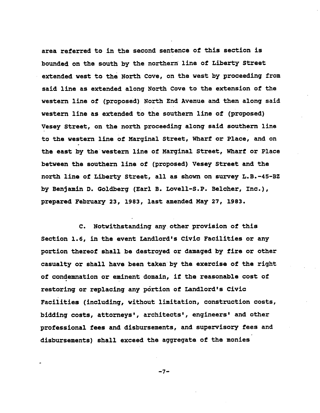**area r**e**ferred to in the sec**o**nd sentence of** th**is secti**o**n is b**o**unded** o**n the s**o**u**th **by** th**e n**o**r**t**hern** l**ine** o**f Liberty Street extended west t**o **t**h**e N**o**rth C**o**ve,** o**n the west by pr**o**ceeding fr**om **said line as ex**t**ended al**o**ng N**o**rth C**o**ve t**o th**e extensi**o**n** o**f the western line** o**f (prop**o**sed) N**o**r**t**h End Avenue and** th**en al**o**ng said western** l**ine a**s **extended t**o **the s**o**uthe**rn l**ine** o**f (pr**o**p**o**sed) Vesey Street,** o**n the n**o**rth pr**o**ceeding al**o**ng said** so**ut**h**ern** l**ine t**o **the weste**rn **line** o**f Marginal Street, Wharf** o**r Place, and on** th**e east** b**y theweste**rn **line** o**f Marginal Street,** Wh**arf** o**r P**l**ace between th**e **s**o**u**th**e**rn **line** o**f (pr**o**p**o**sed) Vesey Street and** th**e n**o**rth llne** o**f L**ib**erty Street**, **al**l **as sh**ow**n** o**n survey L.B.-45-BZ by Benjamin D. G**o**ldberg (Ear**l **B. L**o**ve**l**l-S.P. Be**lc**her, In**c**.), prepared February 23, 1983, last amended May 27, 1983.**

**C. N**o**twithstanding any** oth**er pr**o**visi**o**n** o**f** th**is Secti**o**n 1.6, in** th**e even**t **Landl**o**rd's Civic Fa**c**i**l**ities** o**r any p**o**rti**o**n** th**ere**o**f shall be destr**o**yed** o**r damaged by fire** o**r** o**ther ca**s**ua**l**ty** or **shall have been taken by th**e **exercise** o**f the right** o**f c**o**ndemnati**o**n** o**r eminent d**o**main, if the reas**o**nable c**o**st** o**f rest**o**ring** o**r rep**l**acin**g **any p**6rt**i**o**n** o**f Landl**o**rd's Civic Facilities (**i**n**cl**ud**l**n**g**, with**o**ut** l**i**m**itati**o**n, c**o**nstruc**t**i**o**n c**o**sts, bidding c**o**sts, att**orn**eys', architects', engineers' and** o**ther pr**o**fessi**o**nal fees and disburse**m**ents, and supervis**ory **fees and disburse**m**ents) sha**l**l exceed** th**e aggregate** o**f the m**o**nies**

**-7-**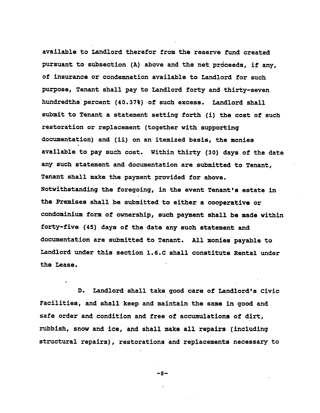**available t**o **Landl**o**rd therefor fr**om th**e reserve fund created pursuant t**o **subsec**t**i**o**n (A) ab**o**ve and** th**e net pr**6**ceed**s**, if any,** o**f insura**n**ce** o**r** co**ndemnation availa**b**le t**o **Landl**o**rd f**o**r such purp**o**se, Tenant shall pay t**o **Landl**o**rd f**o**rty and** th**i**rt**y-seven h**un**dred**th**s percent (4**0**.37**%**)** o**f such excess.** La**ndl**o**rd sha**ll **s**ubm**it t**o **Tenant a statement setting f**o**rth (i)** th**e c**o**st** o**f such rest**o**rati**o**n** o**r rep**l**a**c**e**m**ent (t**o**gether with su**p**p**o**rting d**o**cumenta**t**i**o**n) and (ii)** o**n an itemized basis, the m**o**nies availa**b**le t**o **pay such c**o**st. Wi**th**in** th**i**rt**y (3**0**) days** o**f the date any such s**t**atement and d**ocu**menta**t**i**o**n are sub**m**itted t**o **Tenant, Tenant sha**l**l make** th**e payment pr**o**vided f**o**r ab**o**v**e**. N**o**twi**th**standin**g **the f**o**reg**o**ing, in** th**e event Tenant'**s **estate in** th**e Premise**s **sha**l**l be s**ubm**itted t**o **eith**er **a c**oo**perative** o**r c**o**nd**om**ini**u**m f**o**rm** o**f** o**wners**h**ip, suc**h **paymen**t s**ha**l**l be made wi**th**in f**ort**y-five (45) days** o**f the date an**y s**uch statement and d**o**cumentati**o**n are submitted t**o **Tenant. A**l**l m**o**nies payab**l**e t**o La**ndl**o**rd unde**r **this secti**o**n 1.6.C shall c**o**nstitute Rental under** th**e Lease.**

**D.** La**ndl**o**rd shal**l **take g**oo**d care** o**f Land**lo**rd's Civic Fa**c**i**l**ities, and shall keep and** m**aintain** th**e same in g**oo**d and safe** o**rder and c**o**nditi**o**n and free** o**f accumulati**o**ns** o**f di**rt**, rub**b**ish, sn**o**w and** i**ce, and sha**ll m**ake a**l**l repairs** (**in**cl**uding structural repairs), rest**o**rati**o**ns and replacements necessary t**o

$$
-8-
$$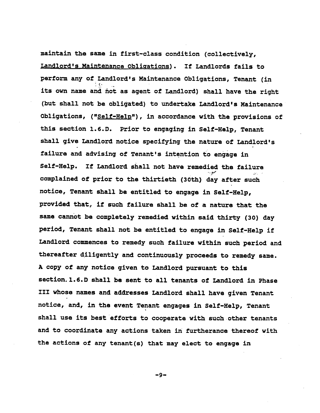**maintain the same in first-**cl**ass c**o**nditi**o**n (**co**l**l**ective**l**y, Landlord's Maintenance Obli\_ationg). If Landl**o**rds fai**l**s t**o **perf**o**rm any** o**f Lan**dlo**r**d**'s Maintenance** O**b**l**igati**o**ns, Tenant (in its** o**wn name and not as agent** o**f Landl**o**rd) shall have the right (but sha**ll **n**o**t be** o**b**l**igated) t**o **undertake Land**lo**rd'**s **Maintenance** Q**b**l**igati**o**ns, ("Se**l**f-He**lp**"), in acc**o**rdance wi**th **the pr**o**visi**o**ns** o**f** th**is secti**o**n** 1**.6.D. Pri**o**r** to **engaging in Se**l**f-H**elp**, Tenant shall give Landl**o**rd n**o**tice specifying the nature** o**f Landl**o**r**d**'s failure an**d **advising** o**f Tenant's intenti**o**n t**o **engage in Se**l**f-He**l**p. If Landl**o**rd sha**l**l n**o**t have reme**d**ie**d **the failure c**o**mplained** o**f pri**o**r t**o th**e** th**i**rt**ie**th **(3**0th**) day after such n**o**tice, Tenant sha**ll **be entit**l**e**d **t**o **engage in Self-He**lp**, pr**o**vided that**, **if su**ch **failure shall be** o**f a nature that** th**e s**am**e** c**an**no**t be c**o**mpletely remedied wi**th**in said** th**i**rt**y (3**0**) day peri**o**d, Tenant sha**ll **n**o**t be entitled t**o **engage in Se**l**f-He**l**p if Landl**o**rd** c**ommen**c**e**s **t**o **re**m**edy such fai**l**ur**e **within** s**uch peri**o**d and t**h**ereafter di**ll**gent**l**y and c**o**ntinu**o**us**l**y pr**o**ceeds t**o **remedy same. A c**o**py** o**f any n**o**tice given t**o **Lan**d**l**o**r**d **pursuant t**o **thi**s **se**c**ti**o**n, l.6.D shall b**e **sent t**o **all tenants** o**f Land**lo**rd in Phase III wh**o**se name**s **and addresses Landl**o**rd shall have given Tenant n**ot**ice, an**d**, in the event Tenant engages in Self-Help, Tenan**t **shall use its best eff**o**rts t**o **c**oo**perate with such** o**ther tenants and t**o **c**oo**rdinate any acti**o**ns taken in furtherance there**o**f wi**th **the acti**o**ns** o**f any tenant(s) that** ma**y elect to engage in**

**-9-**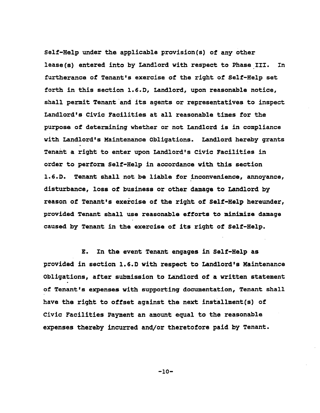**Se**l**f-He**lp **under the ap**pl**lcab**le **pr**o**vlsl**o**n(s) of any other** l**ease(**s**) entered int**o **by Landl**o**rd with respect t**o **Phase III. In furtheran**ce o**f Tenant'**s **exer**c**ise** o**f the right** o**f Se**l**f-He**l**p set f**o**rth in this sec**t**i**o**n** 1**.6.D, Land**lo**rd, up**o**n reas**o**nable n**o**tice, s**h**a**l**l permi**t **Tenan**t**and its agents** o**r representatives t**o **inspect Landl**o**rd's Civic Facilities a**t **all reas**o**nable time**s **f**o**r the purp**o**se** o**f determ**i**ning whether** o**r n**o**t Landl**o**r**d **is in c**om**p**l**iance with Landl**o**r**d**'s Maint**e**nance** O**bligati**o**ns. Landl**o**r**d **hereby gran**t**s Tenant a r**i**g**h**t t**o **enter up**o**n Landl**o**rd'**s **Civic Facilities in** o**rder t**o **perf**o**rm Self-He**l**p in ac**co**rdance wi**th th**is sec**t**i**o**n 1.6.D. Tenant shall n**o**t** b**e liabl**e **f**o**r inc**o**nvenience, ann**o**yanc**e**, disturb**an**ce, l**o**ss** o**f business** or o**ther damag**e **t**o **Landl**o**rd by reas**o**n** o**f Tenant's e**x**ercise** o**f** th**e r**i**ght** o**f Se**l**f-He**l**p hereunder, pr**o**vided Tenant s**h**all use rea**so**n**ab**le eff**o**rt**s **to** m**inimiz**e d**amag**e **caused by Tenant** i**n** th**e exercise** o**f** i**t**s **right** o**f Self-He**l**p.**

**E. In th**e **event Ten**an**t engage**s **in Self-He**l**p as pr**o**vided in secti**o**n** 1**.6.D wit**h **respect t**o **Land**lo**rd'**s **Maintenance Ob**l**igati**o**ns, after su**bm**issi**o**n t**o **Landl**o**rd** o**f a written state**m**ent** o**f Tenant's expense**s **with supp**o**rtin**g **d**o**cumenta**t**i**o**n, Te**n**ant sha**l**l have the r**i**ght** to o**ffset against the next insta**llm**en**t**(**s**)** o**f Civic Faci**l**itles Pay**m**ent an a**mo**unt equal t**o **the reas**o**nab**l**e expenses thereby incurred and**/o**r theret**o**f**o**r**e p**aid** b**y Tenant.**

**-**1**0-**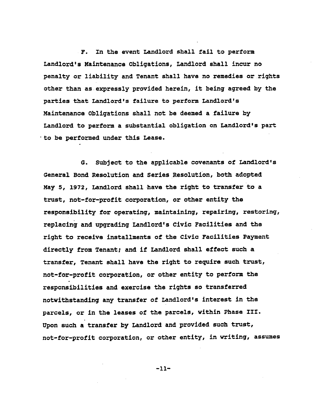**F. In the eve**n**t Landl**o**rd shall fai**l **t**o **perf**o**rm Lan**dlo**r**d**'s Maintenance** Obl**i**g**ati**o**ns, Landl**o**rd shal**l **incur n**o **penalty** or **liabi**l**ity an**d **Tenant sha**ll **have n**o **remedie**s o**r rights** o**ther** th**an as expr**e**ssly pr**o**vided herein, it being agreed by t**h**e part**i**es** th**at Land**lo**r**d**'s failure t**o **perf**o**rm Landl**o**rd's Maintenance 0**bl**l**g**ati**o**ns sha**ll **n**o**t be d**e**emed a fai**l**ure by Land**lo**rd t**o **p**e**rf**o**rm a substan**ti**al** o**b**llg**ati**o**n**o**n Landl**o**rd's part "t**o **be perf**orm**ed under this Lease.**

**G. S**ub**ject t**o **the applicable c**o**venants** o**f Landl**o**rd's General B**o**nd Res**ol**uti**o**n and SerlesRes**o**l**u**ti**o**n, b**o**th ad**o**pt**e**d May 5,** 1**972, Landl**o**rd s**h**a**ll **have** th**e right** to **transfer t**o **a trust, n**o**t-f**o**r-pr**o**fit c**o**rp**or**ati**o**n,** o**r** o**t**h**er entity** the r**e**s**p**o**nsibi**l**ity f**or o**perating,** m**aintai**n**ing, repairing, rest**o**ring, replaclng and upgrading Landl**o**rd's Civ**ic **Fa**ci**llt**i**e**s **and the right t**o **receive insta**llm**ents** o**f** th**e Civi**c **Fa**c**ilitie**s **Paym**e**nt directly fr**o**m Tenant;** and **if Landl**o**rd sha**l**l effect such a transfer, Ten**an**t sha**l**l have** the **right t**o **requ**i**r**e s**uch trust, n**o**t-f**o**r-pr**o**flt** corpo**rati**o**n,** o**r** o**th**er **entity t**o **pe**r**f**orm t**he resp**o**nsibilities and exercise th**e **rig**h**t**s so **transferred n**o**tw**i**t**h**stand**i**ng any tran**s**f**e**r** o**f** La**nd**lo**rd's interest in** th**e parcels,** o**r** i**n the** l**ease**s o**f the** p**arce**l**s, wi**thi**n Phase III. Up**o**n such a transfer by Land**lo**rd and pr**o**vided such trus**t**, n**o**t-f**o**r-pr**o**f**l**t c**o**rp**o**rati**o**n, or** o**t**h**e**r **entit**y, **in writ**i**n**g**, assu**mes

**-**11**-**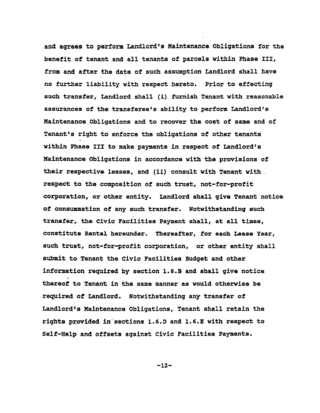**•a**nd **agrees to p**e**rf**o**r**m **Land**lo**r**d's **Mainte**n**an**c**e O**bl**i**g**a**t**i**on**s f**o**r th**e b**enefit** o**f tenant an**d **a**l**l tenan**t**s** o**f par**c**e**l**s wit**h**in Phase III, fr**o**m and af**t**er** th**e date** o**f such ass**u**mpti**o**n** La**n**d**l**o**rd shal**l **have n**o **fur**th**e**r **liabili**t**y wi**th **re**s**pe**ct **here**to**. Pri**o**r** to **effec**t**in**g **suc**h **tran**s**fer, Lan**dlo**r**d **sha**l**l (i)furnish Tenant with reas**o**nable a**s**sur**an**ces** o**f the transferee's ability t**o **perf**o**r**m **Landl**o**rd's Maintenance** Obl**i**g**at**io**ns an**d **t**o **rec**o**ver** th**e c**os**t** o**f same an**d o**f Tenant's right t**o **enf**o**rce** the obl**igati**o**ns** o**f** o**ther tenants within P**h**ase III t**o **make pay**m**ent**s **in re**s**pect** o**f Lan**dlo**rd's Maint**e**nance** Obll**gat**lo**ns in acc**o**rdance wit**h **the pr**o**visi**o**ns** o**f their respective** l**eases, an**d **(ii) c**o**nsu**lt **wi**th **Tenant with respect t**o th**e c**om**p**o**siti**on o**f such** t**rust, n**o**t-f**o**r-pr**o**fit** c**orp**o**rati**o**n,** or othe**r entity. Lan**d**l**o**rd shall give Ten**an**t n**o**tice** o**f c**o**nsu**mm**ati**o**n** o**f any such transf**e**r. N**o**twi**th**stan**d**in**g **such transfer, th**e **Civ**i**c Facilities Payment shall, at all times, c**o**ns**ti**tute R**e**ntal hereun**d**er. Thereafter, f**or **each Lease Year, such trust, not-f**o**r-pr**o**fit c**o**rp**o**rati**o**n,** o**r** other **en**t**ity sha**ll **sub**m**it t**o **Tenant** th**e Civic Facilities Budg**e**t an**d o**ther inf**orm**a**tio**n required b**y s**ecti**o**n** 1**.6.B an**d **shall give n**o**tice** th**ere**o**f t**o **Tenant in th**e **same** m**a**n**ner as w**o**uld** oth**erwis**e **be require**d o**f** La**ndl**o**r**d**. N**o**tw**ith**stan**d**in**g **any transfer** o**f Land**lo**r**d**e**s **Maintenance O**bl**lgati**on**s, Tenant sha**l**l retain the rights pr**o**v**i**de**d **insect**lo**ns** 1**.6.D and** 1**.6.**E **with respect t**o **Se**l**f-He**l**p and** o**ffsets against Civic Fa**c**i**l**itie**s **Pa**ym**ents.**

**-**1**2-**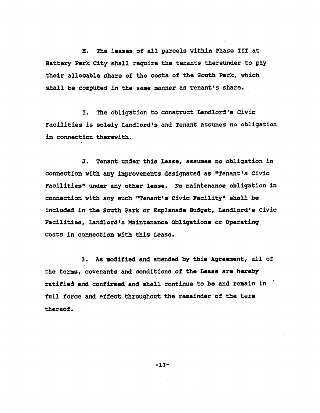**H. T**he l**eas**es o**f a**ll p**arc**el**s** w**ithin Phase IIIat Bat**t**ery Park Clty s**h**a**ll **requ**i**re t**he **te**n**a**n**ts** the**re**u**nder to pa**y th**eir all**oc**a**b**le share** o**f** the **c**o**sts** o**f the S**o**u**th **Park, which shall** be **c**o**mputed in** the **same** m**anne**r **a**s **Tena**nt**'s s**h**are.**

**I.** Th**e** o**b**lig**at**io**n to cons**t**ru**c**t Landl**o**rd**'s **Civi**c F**a**c**i**l**lt**l**es** i**s so**l**e**l**y Land**lo**rd's and Te**n**ant assumes** n**o** o**b**ll**gati**o**n** i**n connec**ti**on** th**erewit**h**.**

**J. Tena**nt **unde**r th**is Leas**e**, assum**es **no** o**bligati**on **in c**o**nnecti**o**n with any impr**o**ve**m**ents d**e**s**i**gnated as .Ten**an**t,s** c**ivic Facilities.** un**der a**ny o**ther** l**eas**e**. N**o m**a**i**nt**e**nanc**e o**bligati**o**n in conn**e**c**t**i**o**n with an**y **such "T**e**nant's C**i**vi**c **Faci**l**ity" s**h**al**l **be included i**n **t**he **S**o**ut**h **Park** or E**sp**l**anad**e **B**u**dget, Lan**d**lord**'**s Civic Faci**l**lti**e**s, Land**l**ord**'s **Maint**e**nanc**e Obl**i**g**at**io**n**s **or** O**perating c**o**s**t**s in c**onn**ec**t**i**o**n with t**hi**s Leas**e**.**

**3. As** mo**dified and amended** b**y** thi**s Agr**e**e**m**en**t**, a**ll o**f the terms, c**o**venants and c**o**nditi**o**ns** o**f the Lea**se **ar**e **her**eby **ratified and c**o**nfirmed and**s**ha**l**l c**o**ntinue to** b**e and remain in full f**o**rce and effect t**h**r**o**u**gho**ut the r**em**a**i**nder** o**f** the **term** th**ere**o**f.**

**-13-**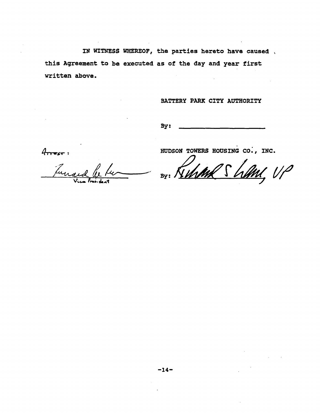IN WITNESS WHEREOF, the parties hereto have caused this Agreement to be executed as of the day and year first written above.

## BATTERY PARK CITY AUTHORITY

By:

 $4$ 

Tuna

HUDSON TOWERS HOUSING CO., INC.

By: Kim